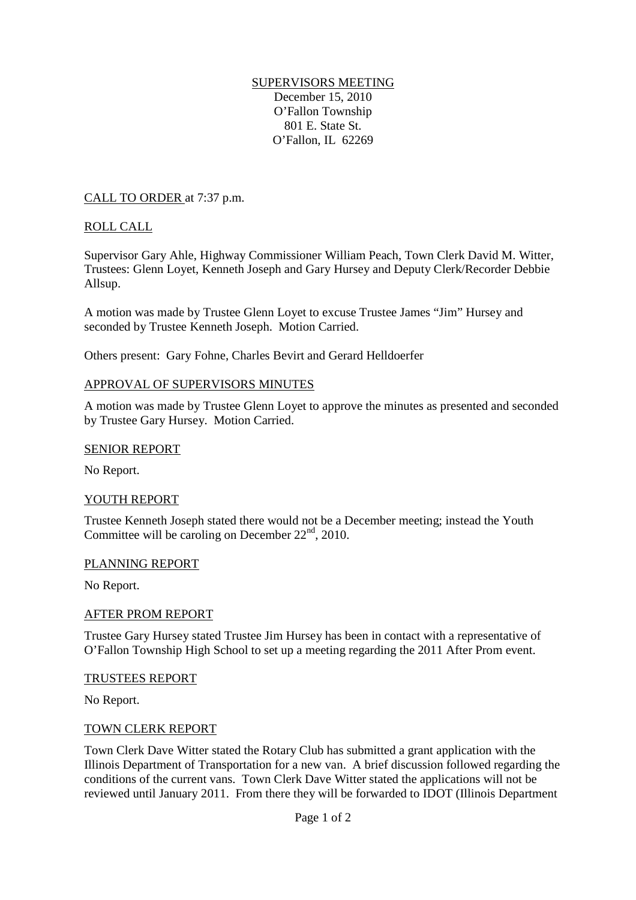## SUPERVISORS MEETING December 15, 2010 O'Fallon Township 801 E. State St. O'Fallon, IL 62269

CALL TO ORDER at 7:37 p.m.

## ROLL CALL

Supervisor Gary Ahle, Highway Commissioner William Peach, Town Clerk David M. Witter, Trustees: Glenn Loyet, Kenneth Joseph and Gary Hursey and Deputy Clerk/Recorder Debbie Allsup.

A motion was made by Trustee Glenn Loyet to excuse Trustee James "Jim" Hursey and seconded by Trustee Kenneth Joseph. Motion Carried.

Others present: Gary Fohne, Charles Bevirt and Gerard Helldoerfer

## APPROVAL OF SUPERVISORS MINUTES

A motion was made by Trustee Glenn Loyet to approve the minutes as presented and seconded by Trustee Gary Hursey. Motion Carried.

#### SENIOR REPORT

No Report.

## YOUTH REPORT

Trustee Kenneth Joseph stated there would not be a December meeting; instead the Youth Committee will be caroling on December  $22<sup>nd</sup>$ , 2010.

## PLANNING REPORT

No Report.

## AFTER PROM REPORT

Trustee Gary Hursey stated Trustee Jim Hursey has been in contact with a representative of O'Fallon Township High School to set up a meeting regarding the 2011 After Prom event.

#### TRUSTEES REPORT

No Report.

## TOWN CLERK REPORT

Town Clerk Dave Witter stated the Rotary Club has submitted a grant application with the Illinois Department of Transportation for a new van. A brief discussion followed regarding the conditions of the current vans. Town Clerk Dave Witter stated the applications will not be reviewed until January 2011. From there they will be forwarded to IDOT (Illinois Department